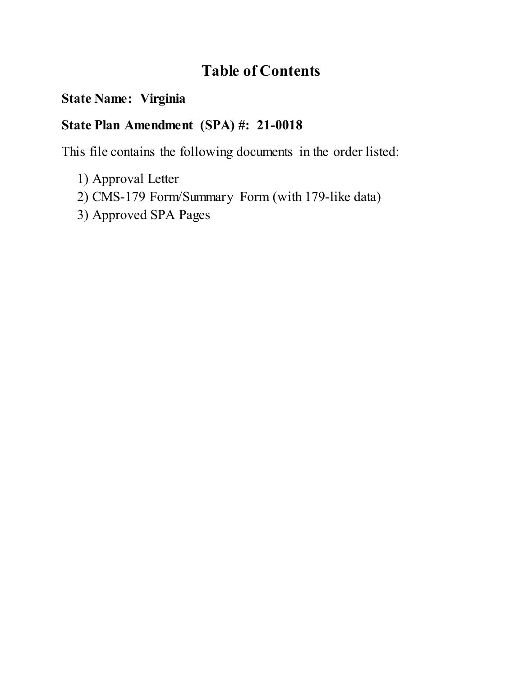# **Table of Contents**

## **State Name: Virginia**

# **State Plan Amendment (SPA) #: 21-0018**

This file contains the following documents in the order listed:

- 1) Approval Letter
- 2) CMS-179 Form/Summary Form (with 179-like data)
- 3) Approved SPA Pages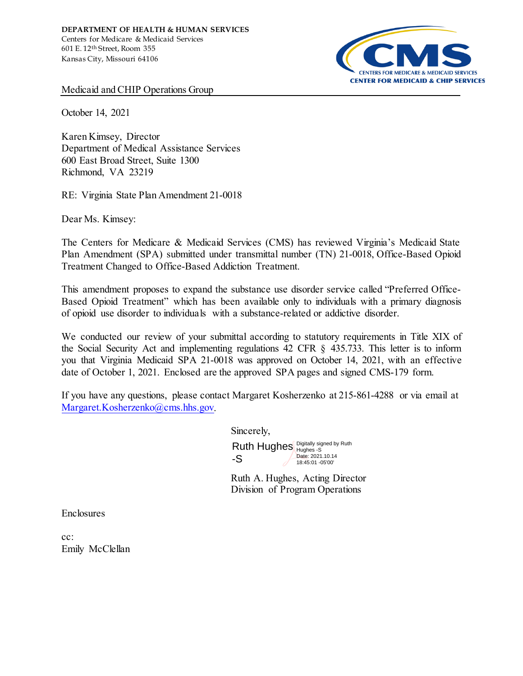

Medicaid and CHIP Operations Group

October 14, 2021

Karen Kimsey, Director Department of Medical Assistance Services 600 East Broad Street, Suite 1300 Richmond, VA 23219

RE: Virginia State Plan Amendment 21-0018

Dear Ms. Kimsey:

The Centers for Medicare & Medicaid Services (CMS) has reviewed Virginia's Medicaid State Plan Amendment (SPA) submitted under transmittal number (TN) 21-0018, Office-Based Opioid Treatment Changed to Office-Based Addiction Treatment.

This amendment proposes to expand the substance use disorder service called "Preferred Office-Based Opioid Treatment" which has been available only to individuals with a primary diagnosis of opioid use disorder to individuals with a substance-related or addictive disorder.

We conducted our review of your submittal according to statutory requirements in Title XIX of the Social Security Act and implementing regulations 42 CFR § 435.733. This letter is to inform you that Virginia Medicaid SPA 21-0018 was approved on October 14, 2021, with an effective date of October 1, 2021. Enclosed are the approved SPA pages and signed CMS-179 form.

If you have any questions, please contact Margaret Kosherzenko at 215-861-4288 or via email at [Margaret.Kosherzenko@cms.hhs.gov.](mailto:Margaret.Kosherzenko@cms.hhs.gov) 

Sincerely,

Ruth Hughes  $\frac{D_{\text{light}}}{D_{\text{tuples}}}$  -S<br>  $\frac{1}{2}$  Date: 2021.10.14 -S 18:45:01 -05'00'

Ruth A. Hughes, Acting Director Division of Program Operations

**Enclosures** 

cc: Emily McClellan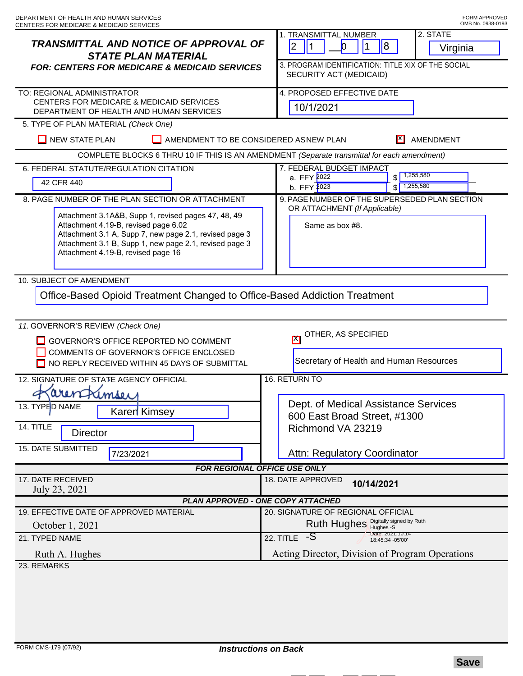| <b>TRANSMITTAL AND NOTICE OF APPROVAL OF</b><br><b>STATE PLAN MATERIAL</b><br><b>FOR: CENTERS FOR MEDICARE &amp; MEDICAID SERVICES</b>                                                                                                                | 2. STATE<br><b>1. TRANSMITTAL NUMBER</b><br> 2 <br>$\overline{8}$<br>11<br>$\vert$ 1<br>O.<br>Virginia<br>3. PROGRAM IDENTIFICATION: TITLE XIX OF THE SOCIAL<br>SECURITY ACT (MEDICAID) |
|-------------------------------------------------------------------------------------------------------------------------------------------------------------------------------------------------------------------------------------------------------|-----------------------------------------------------------------------------------------------------------------------------------------------------------------------------------------|
| TO: REGIONAL ADMINISTRATOR<br>CENTERS FOR MEDICARE & MEDICAID SERVICES<br>DEPARTMENT OF HEALTH AND HUMAN SERVICES                                                                                                                                     | 4. PROPOSED EFFECTIVE DATE<br>10/1/2021                                                                                                                                                 |
| 5. TYPE OF PLAN MATERIAL (Check One)                                                                                                                                                                                                                  |                                                                                                                                                                                         |
| $\Box$ NEW STATE PLAN<br>ΓI<br>AMENDMENT TO BE CONSIDERED ASNEW PLAN                                                                                                                                                                                  | AMENDMENT                                                                                                                                                                               |
| COMPLETE BLOCKS 6 THRU 10 IF THIS IS AN AMENDMENT (Separate transmittal for each amendment)                                                                                                                                                           |                                                                                                                                                                                         |
| 6. FEDERAL STATUTE/REGULATION CITATION<br>42 CFR 440                                                                                                                                                                                                  | 7. FEDERAL BUDGET IMPACT<br>1,255,580<br>a. FFY 2022<br>\$<br>1,255,580<br>b. FFY 2023                                                                                                  |
| 8. PAGE NUMBER OF THE PLAN SECTION OR ATTACHMENT                                                                                                                                                                                                      | 9. PAGE NUMBER OF THE SUPERSEDED PLAN SECTION                                                                                                                                           |
| Attachment 3.1A&B, Supp 1, revised pages 47, 48, 49<br>Attachment 4.19-B, revised page 6.02<br>Attachment 3.1 A, Supp 7, new page 2.1, revised page 3<br>Attachment 3.1 B, Supp 1, new page 2.1, revised page 3<br>Attachment 4.19-B, revised page 16 | OR ATTACHMENT (If Applicable)<br>Same as box #8.                                                                                                                                        |
| 10. SUBJECT OF AMENDMENT                                                                                                                                                                                                                              |                                                                                                                                                                                         |
| Office-Based Opioid Treatment Changed to Office-Based Addiction Treatment                                                                                                                                                                             |                                                                                                                                                                                         |
| 11. GOVERNOR'S REVIEW (Check One)<br>GOVERNOR'S OFFICE REPORTED NO COMMENT<br>COMMENTS OF GOVERNOR'S OFFICE ENCLOSED<br>NO REPLY RECEIVED WITHIN 45 DAYS OF SUBMITTAL                                                                                 | OTHER, AS SPECIFIED<br>M<br>Secretary of Health and Human Resources                                                                                                                     |
| 12. SIGNATURE OF STATE AGENCY OFFICIAL                                                                                                                                                                                                                | 16. RETURN TO                                                                                                                                                                           |
| arenfrimser<br>13. TYPED NAME<br><b>Karen</b> Kimsey<br>14. TITLE<br><b>Director</b>                                                                                                                                                                  | Dept. of Medical Assistance Services<br>600 East Broad Street, #1300<br>Richmond VA 23219                                                                                               |
| 15. DATE SUBMITTED<br>7/23/2021                                                                                                                                                                                                                       | Attn: Regulatory Coordinator                                                                                                                                                            |
| FOR REGIONAL OFFICE USE ONLY                                                                                                                                                                                                                          |                                                                                                                                                                                         |
| 17. DATE RECEIVED<br>July 23, 2021                                                                                                                                                                                                                    | 18. DATE APPROVED<br>10/14/2021                                                                                                                                                         |
| PLAN APPROVED - ONE COPY ATTACHED                                                                                                                                                                                                                     |                                                                                                                                                                                         |
| 19. EFFECTIVE DATE OF APPROVED MATERIAL<br>October 1, 2021                                                                                                                                                                                            | 20. SIGNATURE OF REGIONAL OFFICIAL<br>Ruth Hughes Bigitally signed by Ruth                                                                                                              |
| 21. TYPED NAME                                                                                                                                                                                                                                        | Date: 2021.10.14<br>$22.$ TITLE $-S$<br>18:45:34 -05'00'                                                                                                                                |
| Ruth A. Hughes                                                                                                                                                                                                                                        | Acting Director, Division of Program Operations                                                                                                                                         |
| 23. REMARKS                                                                                                                                                                                                                                           |                                                                                                                                                                                         |
|                                                                                                                                                                                                                                                       |                                                                                                                                                                                         |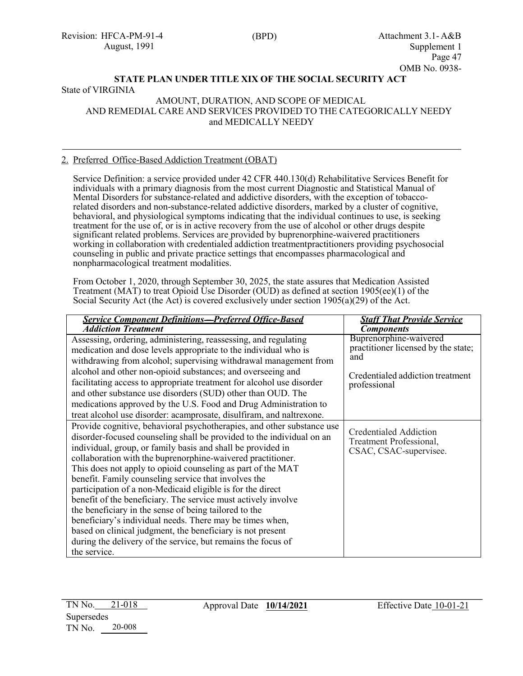### **STATE PLAN UNDER TITLE XIX OF THE SOCIAL SECURITY ACT** State of VIRGINIA

#### AMOUNT, DURATION, AND SCOPE OF MEDICAL AND REMEDIAL CARE AND SERVICES PROVIDED TO THE CATEGORICALLY NEEDY and MEDICALLY NEEDY

### 2. Preferred Office-Based Addiction Treatment (OBAT)

Service Definition: a service provided under 42 CFR 440.130(d) Rehabilitative Services Benefit for individuals with a primary diagnosis from the most current Diagnostic and Statistical Manual of Mental Disorders for substance-related and addictive disorders, with the exception of tobaccorelated disorders and non-substance-related addictive disorders, marked by a cluster of cognitive, behavioral, and physiological symptoms indicating that the individual continues to use, is seeking treatment for the use of, or is in active recovery from the use of alcohol or other drugs despite significant related problems. Services are provided by buprenorphine-waivered practitioners working in collaboration with credentialed addiction treatmentpractitioners providing psychosocial counseling in public and private practice settings that encompasses pharmacological and nonpharmacological treatment modalities.

From October 1, 2020, through September 30, 2025, the state assures that Medication Assisted Treatment (MAT) to treat Opioid Use Disorder (OUD) as defined at section  $1905(ee)(1)$  of the Social Security Act (the Act) is covered exclusively under section  $1905(a)(29)$  of the Act.

| <b>Service Component Definitions-Preferred Office-Based</b>                                                                                                                                                                                                                                                                                                                                                                                                                                                                                                                                                                                                                                                                  | <b>Staff That Provide Service</b>                                                                                        |
|------------------------------------------------------------------------------------------------------------------------------------------------------------------------------------------------------------------------------------------------------------------------------------------------------------------------------------------------------------------------------------------------------------------------------------------------------------------------------------------------------------------------------------------------------------------------------------------------------------------------------------------------------------------------------------------------------------------------------|--------------------------------------------------------------------------------------------------------------------------|
| <b>Addiction Treatment</b>                                                                                                                                                                                                                                                                                                                                                                                                                                                                                                                                                                                                                                                                                                   | <b>Components</b>                                                                                                        |
| Assessing, ordering, administering, reassessing, and regulating<br>medication and dose levels appropriate to the individual who is<br>withdrawing from alcohol; supervising withdrawal management from<br>alcohol and other non-opioid substances; and overseeing and<br>facilitating access to appropriate treatment for alcohol use disorder<br>and other substance use disorders (SUD) other than OUD. The<br>medications approved by the U.S. Food and Drug Administration to                                                                                                                                                                                                                                            | Buprenorphine-waivered<br>practitioner licensed by the state;<br>and<br>Credentialed addiction treatment<br>professional |
| treat alcohol use disorder: acamprosate, disulfiram, and naltrexone.<br>Provide cognitive, behavioral psychotherapies, and other substance use                                                                                                                                                                                                                                                                                                                                                                                                                                                                                                                                                                               |                                                                                                                          |
| disorder-focused counseling shall be provided to the individual on an<br>individual, group, or family basis and shall be provided in<br>collaboration with the buprenorphine-waivered practitioner.<br>This does not apply to opioid counseling as part of the MAT<br>benefit. Family counseling service that involves the<br>participation of a non-Medicaid eligible is for the direct<br>benefit of the beneficiary. The service must actively involve<br>the beneficiary in the sense of being tailored to the<br>beneficiary's individual needs. There may be times when,<br>based on clinical judgment, the beneficiary is not present<br>during the delivery of the service, but remains the focus of<br>the service. | <b>Credentialed Addiction</b><br>Treatment Professional,<br>CSAC, CSAC-supervisee.                                       |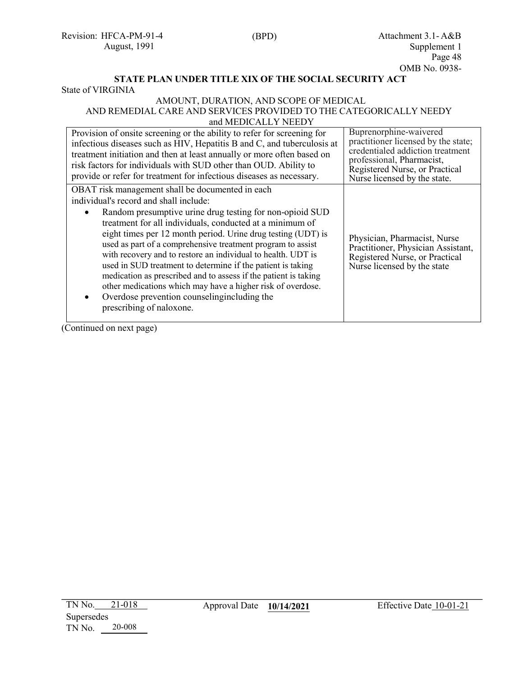## **STATE PLAN UNDER TITLE XIX OF THE SOCIAL SECURITY ACT**

State of VIRGINIA

#### AMOUNT, DURATION, AND SCOPE OF MEDICAL AND REMEDIAL CARE AND SERVICES PROVIDED TO THE CATEGORICALLY NEEDY and MEDICALLY NEEDY

| Provision of onsite screening or the ability to refer for screening for<br>infectious diseases such as HIV, Hepatitis B and C, and tuberculosis at<br>treatment initiation and then at least annually or more often based on<br>risk factors for individuals with SUD other than OUD. Ability to<br>provide or refer for treatment for infectious diseases as necessary.                                                                                                                                                                                                                                                                                                                      | Buprenorphine-waivered<br>practitioner licensed by the state;<br>credentialed addiction treatment<br>professional, Pharmacist,<br>Registered Nurse, or Practical<br>Nurse licensed by the state. |
|-----------------------------------------------------------------------------------------------------------------------------------------------------------------------------------------------------------------------------------------------------------------------------------------------------------------------------------------------------------------------------------------------------------------------------------------------------------------------------------------------------------------------------------------------------------------------------------------------------------------------------------------------------------------------------------------------|--------------------------------------------------------------------------------------------------------------------------------------------------------------------------------------------------|
| OBAT risk management shall be documented in each<br>individual's record and shall include:<br>Random presumptive urine drug testing for non-opioid SUD<br>treatment for all individuals, conducted at a minimum of<br>eight times per 12 month period. Urine drug testing (UDT) is<br>used as part of a comprehensive treatment program to assist<br>with recovery and to restore an individual to health. UDT is<br>used in SUD treatment to determine if the patient is taking<br>medication as prescribed and to assess if the patient is taking<br>other medications which may have a higher risk of overdose.<br>Overdose prevention counselingincluding the<br>prescribing of naloxone. | Physician, Pharmacist, Nurse<br>Practitioner, Physician Assistant,<br>Registered Nurse, or Practical<br>Nurse licensed by the state                                                              |

(Continued on next page)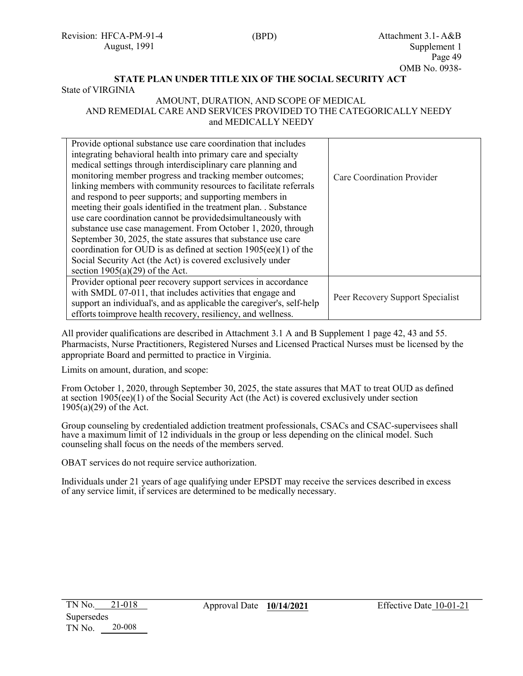Revision: HFCA-PM-91-4 August, 1991

## **STATE PLAN UNDER TITLE XIX OF THE SOCIAL SECURITY ACT**

State of VIRGINIA

#### AMOUNT, DURATION, AND SCOPE OF MEDICAL AND REMEDIAL CARE AND SERVICES PROVIDED TO THE CATEGORICALLY NEEDY and MEDICALLY NEEDY

| Provide optional substance use care coordination that includes<br>integrating behavioral health into primary care and specialty<br>medical settings through interdisciplinary care planning and<br>monitoring member progress and tracking member outcomes;<br>linking members with community resources to facilitate referrals<br>and respond to peer supports; and supporting members in<br>meeting their goals identified in the treatment plan. . Substance<br>use care coordination cannot be provided simultaneously with<br>substance use case management. From October 1, 2020, through<br>September 30, 2025, the state assures that substance use care<br>coordination for OUD is as defined at section $1905(ee)(1)$ of the<br>Social Security Act (the Act) is covered exclusively under<br>section $1905(a)(29)$ of the Act. | Care Coordination Provider       |
|-------------------------------------------------------------------------------------------------------------------------------------------------------------------------------------------------------------------------------------------------------------------------------------------------------------------------------------------------------------------------------------------------------------------------------------------------------------------------------------------------------------------------------------------------------------------------------------------------------------------------------------------------------------------------------------------------------------------------------------------------------------------------------------------------------------------------------------------|----------------------------------|
| Provider optional peer recovery support services in accordance<br>with SMDL 07-011, that includes activities that engage and<br>support an individual's, and as applicable the caregiver's, self-help<br>efforts to improve health recovery, resiliency, and wellness.                                                                                                                                                                                                                                                                                                                                                                                                                                                                                                                                                                    | Peer Recovery Support Specialist |

All provider qualifications are described in Attachment 3.1 A and B Supplement 1 page 42, 43 and 55. Pharmacists, Nurse Practitioners, Registered Nurses and Licensed Practical Nurses must be licensed by the appropriate Board and permitted to practice in Virginia.

Limits on amount, duration, and scope:

From October 1, 2020, through September 30, 2025, the state assures that MAT to treat OUD as defined at section 1905(ee)(1) of the Social Security Act (the Act) is covered exclusively under section 1905(a)(29) of the Act.

Group counseling by credentialed addiction treatment professionals, CSACs and CSAC-supervisees shall have a maximum limit of 12 individuals in the group or less depending on the clinical model. Such counseling shall focus on the needs of the members served.

OBAT services do not require service authorization.

Individuals under 21 years of age qualifying under EPSDT may receive the services described in excess of any service limit, if services are determined to be medically necessary.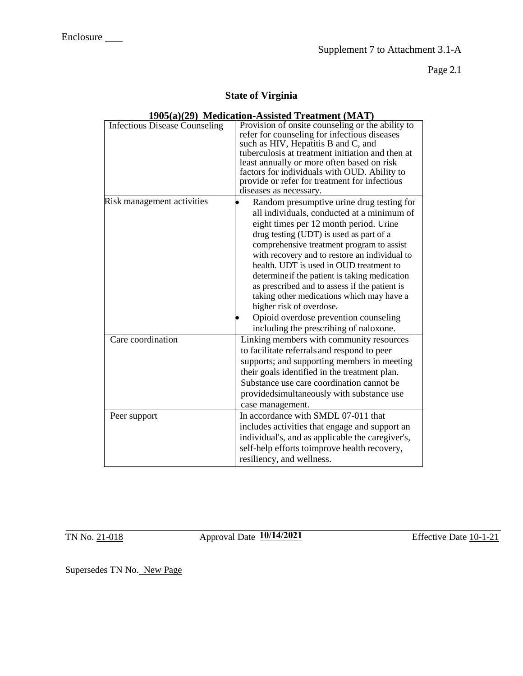Page 2.1

## **State of Virginia**

| $170\sqrt{u/(27)}$ <i>NIGH</i>       | $\mu$ tion- <i>Assisted</i> Treatment $\mu$ <i>itivit</i>                                                                                                                                                                                                                                                                                                                                                                                                                                                                                                                           |
|--------------------------------------|-------------------------------------------------------------------------------------------------------------------------------------------------------------------------------------------------------------------------------------------------------------------------------------------------------------------------------------------------------------------------------------------------------------------------------------------------------------------------------------------------------------------------------------------------------------------------------------|
| <b>Infectious Disease Counseling</b> | Provision of onsite counseling or the ability to<br>refer for counseling for infectious diseases<br>such as HIV, Hepatitis B and C, and<br>tuberculosis at treatment initiation and then at<br>least annually or more often based on risk<br>factors for individuals with OUD. Ability to<br>provide or refer for treatment for infectious<br>diseases as necessary.                                                                                                                                                                                                                |
| Risk management activities           | Random presumptive urine drug testing for<br>all individuals, conducted at a minimum of<br>eight times per 12 month period. Urine<br>drug testing (UDT) is used as part of a<br>comprehensive treatment program to assist<br>with recovery and to restore an individual to<br>health. UDT is used in OUD treatment to<br>determine if the patient is taking medication<br>as prescribed and to assess if the patient is<br>taking other medications which may have a<br>higher risk of overdose.<br>Opioid overdose prevention counseling<br>including the prescribing of naloxone. |
| Care coordination                    | Linking members with community resources<br>to facilitate referrals and respond to peer<br>supports; and supporting members in meeting<br>their goals identified in the treatment plan.<br>Substance use care coordination cannot be<br>provided simultaneously with substance use<br>case management.                                                                                                                                                                                                                                                                              |
| Peer support                         | In accordance with SMDL 07-011 that<br>includes activities that engage and support an<br>individual's, and as applicable the caregiver's,<br>self-help efforts toimprove health recovery,<br>resiliency, and wellness.                                                                                                                                                                                                                                                                                                                                                              |

## **1905(a)(29) Medication-Assisted Treatment (MAT)**

TN No. 21-018 <br> **10/14/2021** Effective Date 10-1-21

Supersedes TN No. New Page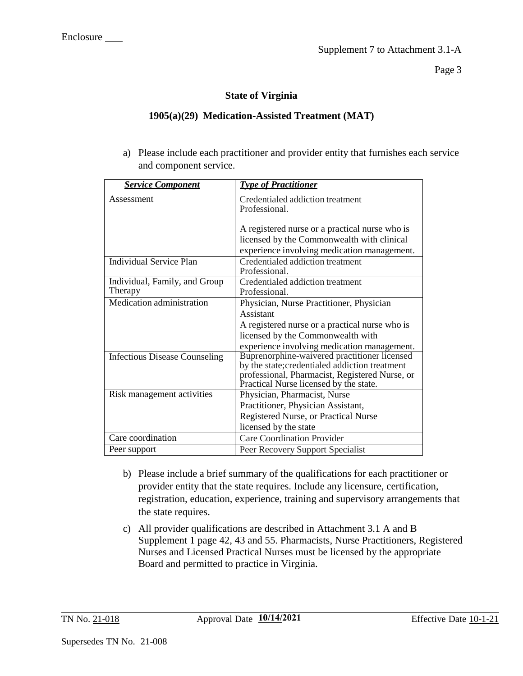Page 3

## **State of Virginia**

## **1905(a)(29) Medication-Assisted Treatment (MAT)**

a) Please include each practitioner and provider entity that furnishes each service and component service.

| <b>Service Component</b>                 | <b>Type of Practitioner</b>                                                                                                                                                                 |
|------------------------------------------|---------------------------------------------------------------------------------------------------------------------------------------------------------------------------------------------|
| Assessment                               | Credentialed addiction treatment<br>Professional.                                                                                                                                           |
|                                          | A registered nurse or a practical nurse who is<br>licensed by the Commonwealth with clinical<br>experience involving medication management.                                                 |
| <b>Individual Service Plan</b>           | Credentialed addiction treatment<br>Professional.                                                                                                                                           |
| Individual, Family, and Group<br>Therapy | Credentialed addiction treatment<br>Professional.                                                                                                                                           |
| Medication administration                | Physician, Nurse Practitioner, Physician<br>Assistant<br>A registered nurse or a practical nurse who is<br>licensed by the Commonwealth with<br>experience involving medication management. |
| <b>Infectious Disease Counseling</b>     | Buprenorphine-waivered practitioner licensed<br>by the state; credentialed addiction treatment<br>professional, Pharmacist, Registered Nurse, or<br>Practical Nurse licensed by the state.  |
| Risk management activities               | Physician, Pharmacist, Nurse<br>Practitioner, Physician Assistant,<br>Registered Nurse, or Practical Nurse<br>licensed by the state                                                         |
| Care coordination                        | <b>Care Coordination Provider</b>                                                                                                                                                           |
| Peer support                             | Peer Recovery Support Specialist                                                                                                                                                            |

- b) Please include a brief summary of the qualifications for each practitioner or provider entity that the state requires. Include any licensure, certification, registration, education, experience, training and supervisory arrangements that the state requires.
- c) All provider qualifications are described in Attachment 3.1 A and B Supplement 1 page 42, 43 and 55. Pharmacists, Nurse Practitioners, Registered Nurses and Licensed Practical Nurses must be licensed by the appropriate Board and permitted to practice in Virginia.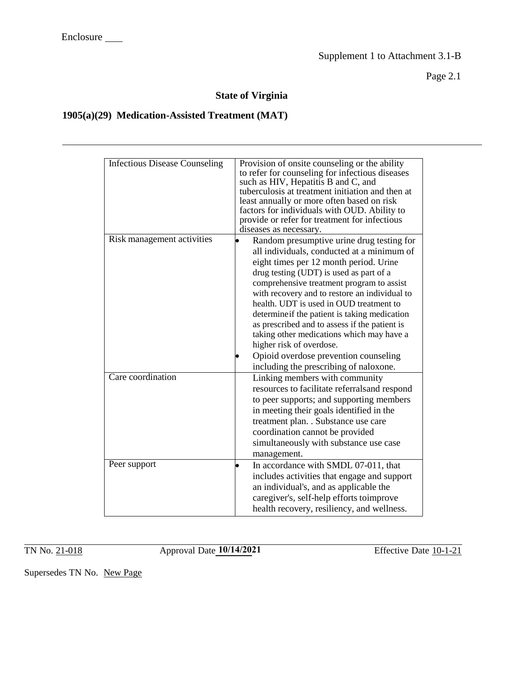Page 2.1

## **State of Virginia**

## **1905(a)(29) Medication-Assisted Treatment (MAT)**

| <b>Infectious Disease Counseling</b> | Provision of onsite counseling or the ability<br>to refer for counseling for infectious diseases<br>such as HIV, Hepatitis B and C, and<br>tuberculosis at treatment initiation and then at<br>least annually or more often based on risk<br>factors for individuals with OUD. Ability to<br>provide or refer for treatment for infectious<br>diseases as necessary.                                                                                                                                                                      |
|--------------------------------------|-------------------------------------------------------------------------------------------------------------------------------------------------------------------------------------------------------------------------------------------------------------------------------------------------------------------------------------------------------------------------------------------------------------------------------------------------------------------------------------------------------------------------------------------|
| Risk management activities           | Random presumptive urine drug testing for<br>all individuals, conducted at a minimum of<br>eight times per 12 month period. Urine<br>drug testing (UDT) is used as part of a<br>comprehensive treatment program to assist<br>with recovery and to restore an individual to<br>health. UDT is used in OUD treatment to<br>determine if the patient is taking medication<br>as prescribed and to assess if the patient is<br>taking other medications which may have a<br>higher risk of overdose.<br>Opioid overdose prevention counseling |
| Care coordination                    | including the prescribing of naloxone.<br>Linking members with community<br>resources to facilitate referrals and respond<br>to peer supports; and supporting members<br>in meeting their goals identified in the<br>treatment plan. . Substance use care<br>coordination cannot be provided<br>simultaneously with substance use case<br>management.                                                                                                                                                                                     |
| Peer support                         | In accordance with SMDL 07-011, that<br>$\bullet$<br>includes activities that engage and support<br>an individual's, and as applicable the<br>caregiver's, self-help efforts toimprove<br>health recovery, resiliency, and wellness.                                                                                                                                                                                                                                                                                                      |

TN No. 21-018 <br> **10/14/2021** Effective Date 10-1-21

Supersedes TN No. New Page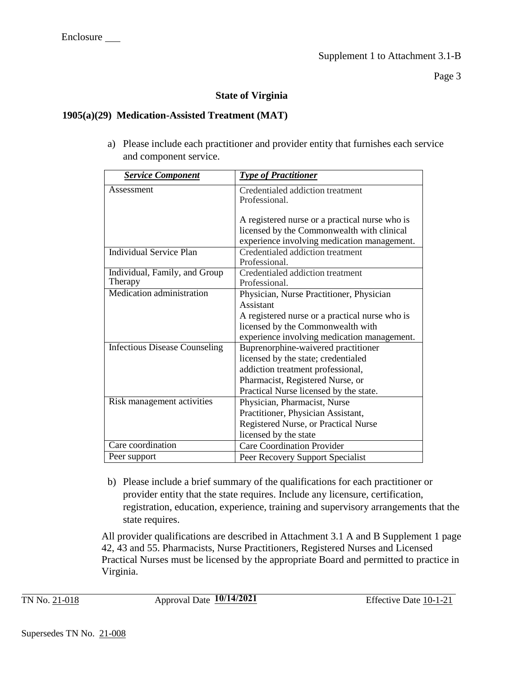Page 3

## **State of Virginia**

## **1905(a)(29) Medication-Assisted Treatment (MAT)**

a) Please include each practitioner and provider entity that furnishes each service and component service.

| <b>Service Component</b>             | <b>Type of Practitioner</b>                    |
|--------------------------------------|------------------------------------------------|
| Assessment                           | Credentialed addiction treatment               |
|                                      | Professional.                                  |
|                                      |                                                |
|                                      | A registered nurse or a practical nurse who is |
|                                      | licensed by the Commonwealth with clinical     |
|                                      | experience involving medication management.    |
| <b>Individual Service Plan</b>       | Credentialed addiction treatment               |
|                                      | Professional.                                  |
| Individual, Family, and Group        | Credentialed addiction treatment               |
| Therapy                              | Professional.                                  |
| Medication administration            | Physician, Nurse Practitioner, Physician       |
|                                      | Assistant                                      |
|                                      | A registered nurse or a practical nurse who is |
|                                      | licensed by the Commonwealth with              |
|                                      | experience involving medication management.    |
| <b>Infectious Disease Counseling</b> | Buprenorphine-waivered practitioner            |
|                                      | licensed by the state; credentialed            |
|                                      | addiction treatment professional,              |
|                                      | Pharmacist, Registered Nurse, or               |
|                                      | Practical Nurse licensed by the state.         |
| Risk management activities           | Physician, Pharmacist, Nurse                   |
|                                      | Practitioner, Physician Assistant,             |
|                                      | Registered Nurse, or Practical Nurse           |
|                                      | licensed by the state                          |
| Care coordination                    | <b>Care Coordination Provider</b>              |
| Peer support                         | Peer Recovery Support Specialist               |

b) Please include a brief summary of the qualifications for each practitioner or provider entity that the state requires. Include any licensure, certification, registration, education, experience, training and supervisory arrangements that the state requires.

All provider qualifications are described in Attachment 3.1 A and B Supplement 1 page 42, 43 and 55. Pharmacists, Nurse Practitioners, Registered Nurses and Licensed Practical Nurses must be licensed by the appropriate Board and permitted to practice in Virginia.

TN No. 21-018 <br> **10/14/2021** Effective Date 10-1-21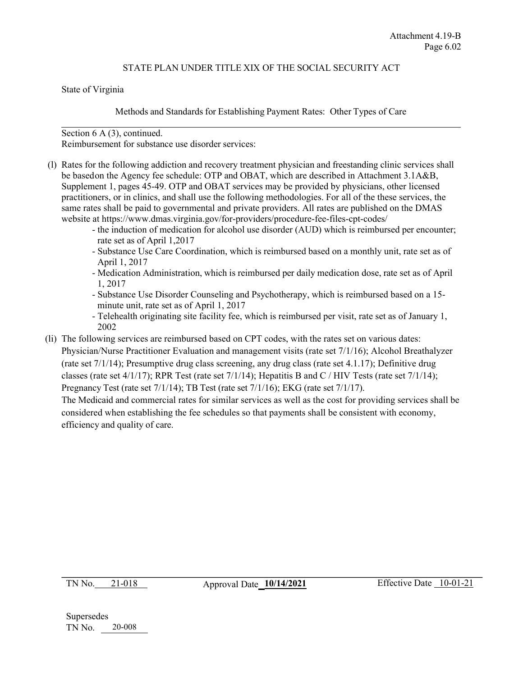### STATE PLAN UNDER TITLE XIX OF THE SOCIAL SECURITY ACT

State of Virginia

#### Methods and Standards for Establishing Payment Rates: Other Types of Care

#### Section 6 A (3), continued.

Reimbursement for substance use disorder services:

- (l) Rates for the following addiction and recovery treatment physician and freestanding clinic services shall be basedon the Agency fee schedule: OTP and OBAT, which are described in Attachment 3.1A&B, Supplement 1, pages 45-49. OTP and OBAT services may be provided by physicians, other licensed practitioners, or in clinics, and shall use the following methodologies. For all of the these services, the same rates shall be paid to governmental and private providers. All rates are published on the DMAS website at https://www.dmas.virginia.gov/for-providers/procedure-fee-files-cpt-codes/
	- the induction of medication for alcohol use disorder (AUD) which is reimbursed per encounter; rate set as of April 1,2017
	- Substance Use Care Coordination, which is reimbursed based on a monthly unit, rate set as of April 1, 2017
	- Medication Administration, which is reimbursed per daily medication dose, rate set as of April 1, 2017
	- Substance Use Disorder Counseling and Psychotherapy, which is reimbursed based on a 15 minute unit, rate set as of April 1, 2017
	- Telehealth originating site facility fee, which is reimbursed per visit, rate set as of January 1, 2002
- (li) The following services are reimbursed based on CPT codes, with the rates set on various dates: Physician/Nurse Practitioner Evaluation and management visits (rate set 7/1/16); Alcohol Breathalyzer (rate set 7/1/14); Presumptive drug class screening, any drug class (rate set 4.1.17); Definitive drug classes (rate set 4/1/17); RPR Test (rate set 7/1/14); Hepatitis B and C / HIV Tests (rate set 7/1/14); Pregnancy Test (rate set  $7/1/14$ ); TB Test (rate set  $7/1/16$ ); EKG (rate set  $7/1/17$ ).

The Medicaid [and commercial rates for](http://www.dmas.virginia.gov/) similar services as well as the cost for providing services shall be considered when establishing the fee schedules so that payments shall be consistent with economy, efficiency and quality of care.

TN No. 21-018 Approval Date **10/14/2021** Effective Date 10-01-21

Supersedes TN No. 20-008